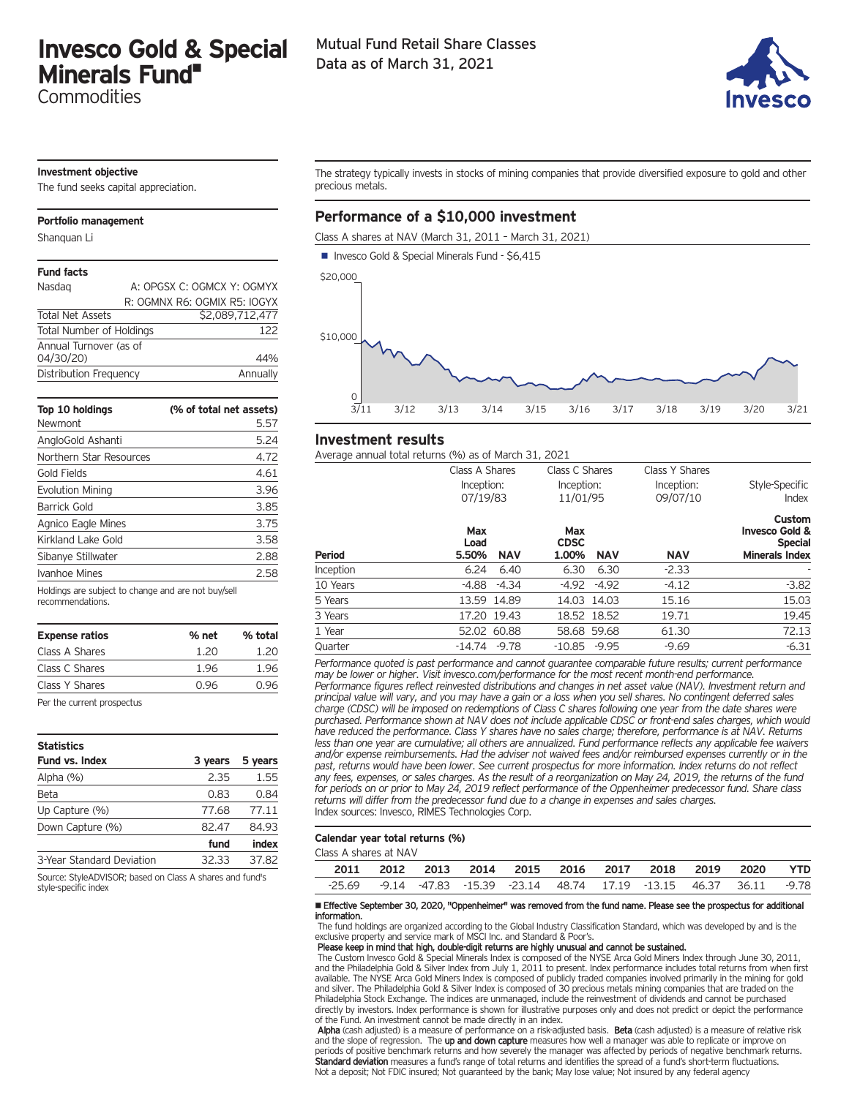# **Invesco Gold & Special Minerals Fund•**

**Commodities** 

## Mutual Fund Retail Share Classes Data as of March 31, 2021



### **Investment objective**

The fund seeks capital appreciation.

#### **Portfolio management**

Shanquan Li

#### **Fund facts**

| Nasdag                          | A: OPGSX C: OGMCX Y: OGMYX   |
|---------------------------------|------------------------------|
|                                 | R: OGMNX R6: OGMIX R5: IOGYX |
| <b>Total Net Assets</b>         | \$2,089,712,477              |
| <b>Total Number of Holdings</b> | 122                          |
| Annual Turnover (as of          |                              |
| 04/30/20)                       | 44%                          |
| Distribution Frequency          | Annually                     |

| Top 10 holdings                                     | (% of total net assets) |
|-----------------------------------------------------|-------------------------|
| Newmont                                             | 5.57                    |
| AngloGold Ashanti                                   | 5.24                    |
| Northern Star Resources                             | 4.72                    |
| Gold Fields                                         | 4.61                    |
| <b>Evolution Mining</b>                             | 3.96                    |
| Barrick Gold                                        | 3.85                    |
| Agnico Eagle Mines                                  | 3.75                    |
| Kirkland Lake Gold                                  | 3.58                    |
| Sibanye Stillwater                                  | 2.88                    |
| Ivanhoe Mines                                       | 2.58                    |
| Holdings are subject to change and are not buy/sell |                         |

| recommendations. |  |
|------------------|--|
|------------------|--|

| <b>Expense ratios</b> | % net | % total |
|-----------------------|-------|---------|
| Class A Shares        | 1.20  | 1.20    |
| Class C Shares        | 1.96  | 1.96    |
| Class Y Shares        | 0.96  | 0.96    |

Per the current prospectus

| <b>Statistics</b>         |         |         |
|---------------------------|---------|---------|
| <b>Fund vs. Index</b>     | 3 years | 5 years |
| Alpha (%)                 | 2.35    | 1.55    |
| Beta                      | 0.83    | 0.84    |
| Up Capture (%)            | 77.68   | 77.11   |
| Down Capture (%)          | 82.47   | 84.93   |
|                           | fund    | index   |
| 3-Year Standard Deviation | 32.33   | 37.82   |

Source: StyleADVISOR; based on Class A shares and fund's style-specific index

The strategy typically invests in stocks of mining companies that provide diversified exposure to gold and other precious metals.

# **Performance of a \$10,000 investment**

Class A shares at NAV (March 31, 2011 – March 31, 2021)



#### **Investment results**

Average annual total returns (%) as of March 31, 2021

|               | Class A Shares                     | Class C Shares                            | Class Y Shares         |                                                                                |
|---------------|------------------------------------|-------------------------------------------|------------------------|--------------------------------------------------------------------------------|
|               | Inception:<br>07/19/83             | Inception:<br>11/01/95                    | Inception:<br>09/07/10 | Style-Specific<br>Index                                                        |
| <b>Period</b> | Max<br>Load<br>5.50%<br><b>NAV</b> | Max<br><b>CDSC</b><br><b>NAV</b><br>1.00% | <b>NAV</b>             | Custom<br><b>Invesco Gold &amp;</b><br><b>Special</b><br><b>Minerals Index</b> |
| Inception     | 6.24<br>6.40                       | 6.30<br>6.30                              | $-2.33$                |                                                                                |
| 10 Years      | $-4.34$<br>-4.88                   | -4.92<br>$-4.92$                          | $-4.12$                | $-3.82$                                                                        |
| 5 Years       | 13.59 14.89                        | 14.03 14.03                               | 15.16                  | 15.03                                                                          |
| 3 Years       | 17.20 19.43                        | 18.52 18.52                               | 19.71                  | 19.45                                                                          |
| 1 Year        | 52.02 60.88                        | 58.68 59.68                               | 61.30                  | 72.13                                                                          |
| Quarter       | -14.74<br>$-9.78$                  | -10.85<br>$-9.95$                         | $-9.69$                | $-6.31$                                                                        |

*Performance quoted is past performance and cannot guarantee comparable future results; current performance may be lower or higher. Visit invesco.com/performance for the most recent month-end performance. Performance figures reflect reinvested distributions and changes in net asset value (NAV). Investment return and principal value will vary, and you may have a gain or a loss when you sell shares. No contingent deferred sales charge (CDSC) will be imposed on redemptions of Class C shares following one year from the date shares were purchased. Performance shown at NAV does not include applicable CDSC or front-end sales charges, which would have reduced the performance. Class Y shares have no sales charge; therefore, performance is at NAV. Returns less than one year are cumulative; all others are annualized. Fund performance reflects any applicable fee waivers and/or expense reimbursements. Had the adviser not waived fees and/or reimbursed expenses currently or in the past, returns would have been lower. See current prospectus for more information. Index returns do not reflect any fees, expenses, or sales charges. As the result of a reorganization on May 24, 2019, the returns of the fund for periods on or prior to May 24, 2019 reflect performance of the Oppenheimer predecessor fund. Share class returns will differ from the predecessor fund due to a change in expenses and sales charges.* Index sources: Invesco, RIMES Technologies Corp.

#### **Calendar year total returns (%)**

Class A shares at NAV

|  |  | 2011 2012 2013 2014 2015 2016 2017 2018 2019 2020 YTD                  |  |  |  |
|--|--|------------------------------------------------------------------------|--|--|--|
|  |  | -25.69 -9.14 -47.83 -15.39 -23.14 48.74 17.19 -13.15 46.37 36.11 -9.78 |  |  |  |
|  |  |                                                                        |  |  |  |

#### • Effective September 30, 2020, "Oppenheimer" was removed from the fund name. Please see the prospectus for additional information.

The fund holdings are organized according to the Global Industry Classification Standard, which was developed by and is the exclusive property and service mark of MSCI Inc. and Standard & Poor's.

Please keep in mind that high, double-digit returns are highly unusual and cannot be sustained.

The Custom Invesco Gold & Special Minerals Index is composed of the NYSE Arca Gold Miners Index through June 30, 2011, and the Philadelphia Gold & Silver Index from July 1, 2011 to present. Index performance includes total returns from when first available. The NYSE Arca Gold Miners Index is composed of publicly traded companies involved primarily in the mining for gold and silver. The Philadelphia Gold & Silver Index is composed of 30 precious metals mining companies that are traded on the Philadelphia Stock Exchange. The indices are unmanaged, include the reinvestment of dividends and cannot be purchased directly by investors. Index performance is shown for illustrative purposes only and does not predict or depict the performance of the Fund. An investment cannot be made directly in an index.

Alpha (cash adjusted) is a measure of performance on a risk-adjusted basis. Beta (cash adjusted) is a measure of relative risk and the slope of regression. The up and down capture measures how well a manager was able to replicate or improve on periods of positive benchmark returns and how severely the manager was affected by periods of negative benchmark returns.<br>**Standard deviation** measures a fund's range of total returns and identifies the spread of a fund's Not a deposit; Not FDIC insured; Not guaranteed by the bank; May lose value; Not insured by any federal agency